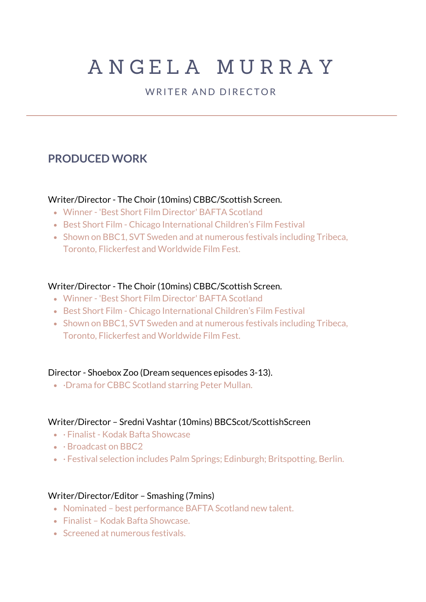# A N G E L A M U R R A Y

## WRITER AND DIRECTOR

# **PRODUCED WORK**

## Writer/Director - The Choir (10mins) CBBC/Scottish Screen.

- Winner 'Best Short Film Director' BAFTA Scotland
- Best Short Film Chicago International Children's Film Festival
- Shown on BBC1, SVT Sweden and at numerous festivals including Tribeca, Toronto, Flickerfest and Worldwide Film Fest.

## Writer/Director - The Choir (10mins) CBBC/Scottish Screen.

- Winner 'Best Short Film Director' BAFTA Scotland
- Best Short Film Chicago International Children's Film Festival
- Shown on BBC1, SVT Sweden and at numerous festivals including Tribeca, Toronto, Flickerfest and Worldwide Film Fest.

## Director - Shoebox Zoo (Dream sequences episodes 3-13).

·Drama for CBBC Scotland starring Peter Mullan.

## Writer/Director – Sredni Vashtar (10mins) BBCScot/ScottishScreen

- · Finalist Kodak Bafta Showcase
- · Broadcast on BBC2
- Festival selection includes Palm Springs; Edinburgh; Britspotting, Berlin.

## Writer/Director/Editor – Smashing (7mins)

- Nominated best performance BAFTA Scotland new talent.
- Finalist Kodak Bafta Showcase.
- Screened at numerous festivals.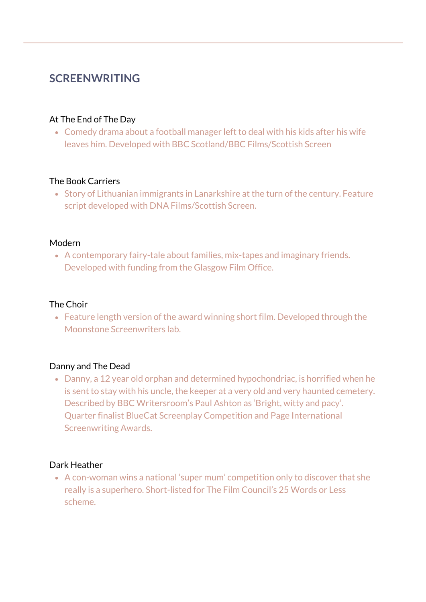## **SCREENWRITING**

## At The End of The Day

Comedy drama about a football manager left to deal with his kids after his wife leaves him. Developed with BBC Scotland/BBC Films/Scottish Screen

## The Book Carriers

Story of Lithuanian immigrants in Lanarkshire at the turn of the century. Feature script developed with DNA Films/Scottish Screen.

## Modern

A contemporary fairy-tale about families, mix-tapes and imaginary friends. Developed with funding from the Glasgow Film Office.

## The Choir

Feature length version of the award winning short film. Developed through the Moonstone Screenwriters lab.

## Danny and The Dead

Danny, a 12 year old orphan and determined hypochondriac, is horrified when he is sent to stay with his uncle, the keeper at a very old and very haunted cemetery. Described by BBC Writersroom's Paul Ashton as 'Bright, witty and pacy'. Quarter finalist BlueCat Screenplay Competition and Page International Screenwriting Awards.

## Dark Heather

A con-woman wins a national 'super mum' competition only to discover that she really is a superhero. Short-listed for The Film Council's 25 Words or Less scheme.